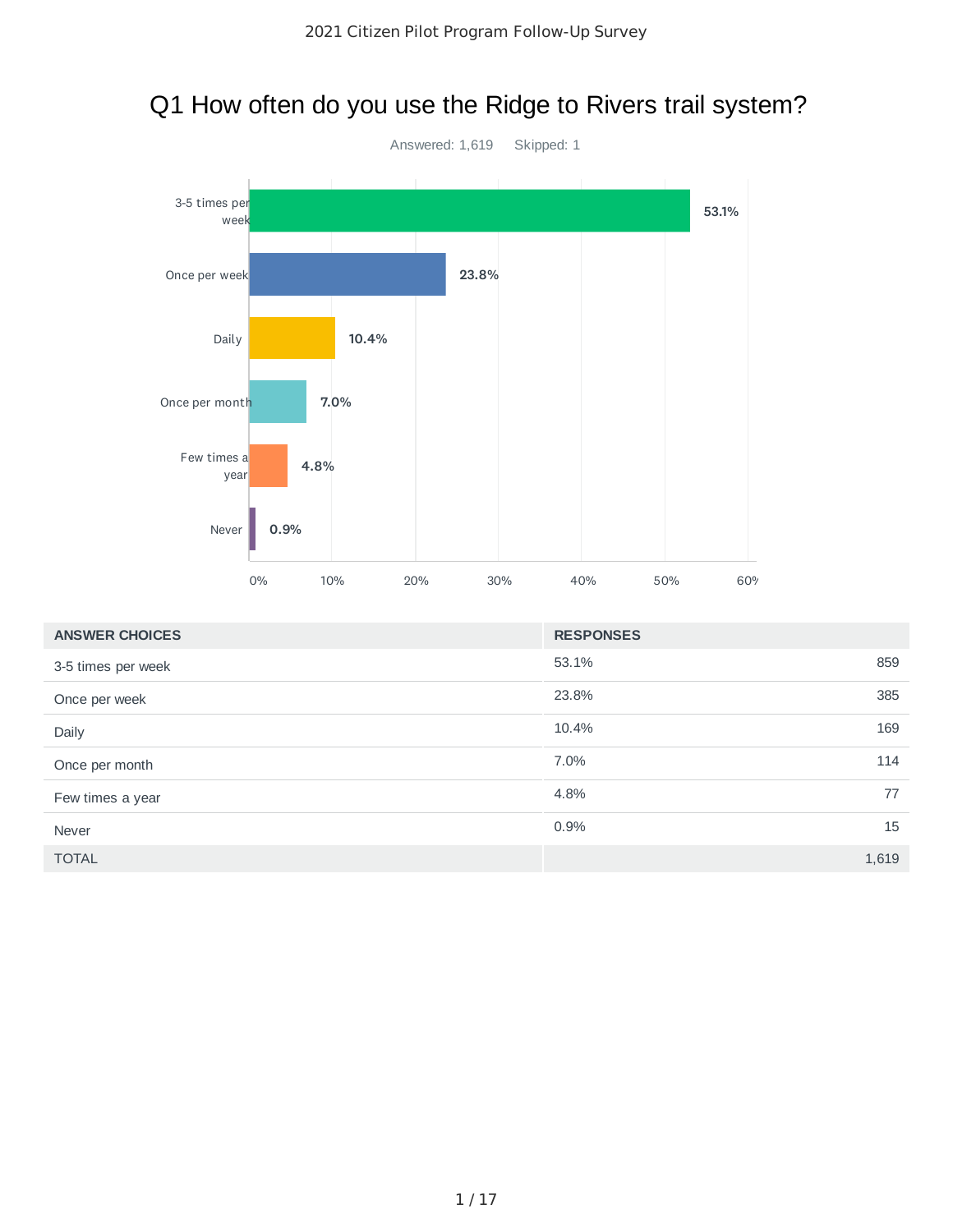

# Q1 How often do you use the Ridge to Rivers trail system?

| <b>ANSWER CHOICES</b> | <b>RESPONSES</b> |       |
|-----------------------|------------------|-------|
| 3-5 times per week    | 53.1%            | 859   |
| Once per week         | 23.8%            | 385   |
| Daily                 | 10.4%            | 169   |
| Once per month        | 7.0%             | 114   |
| Few times a year      | 4.8%             | 77    |
| Never                 | 0.9%             | 15    |
| <b>TOTAL</b>          |                  | 1,619 |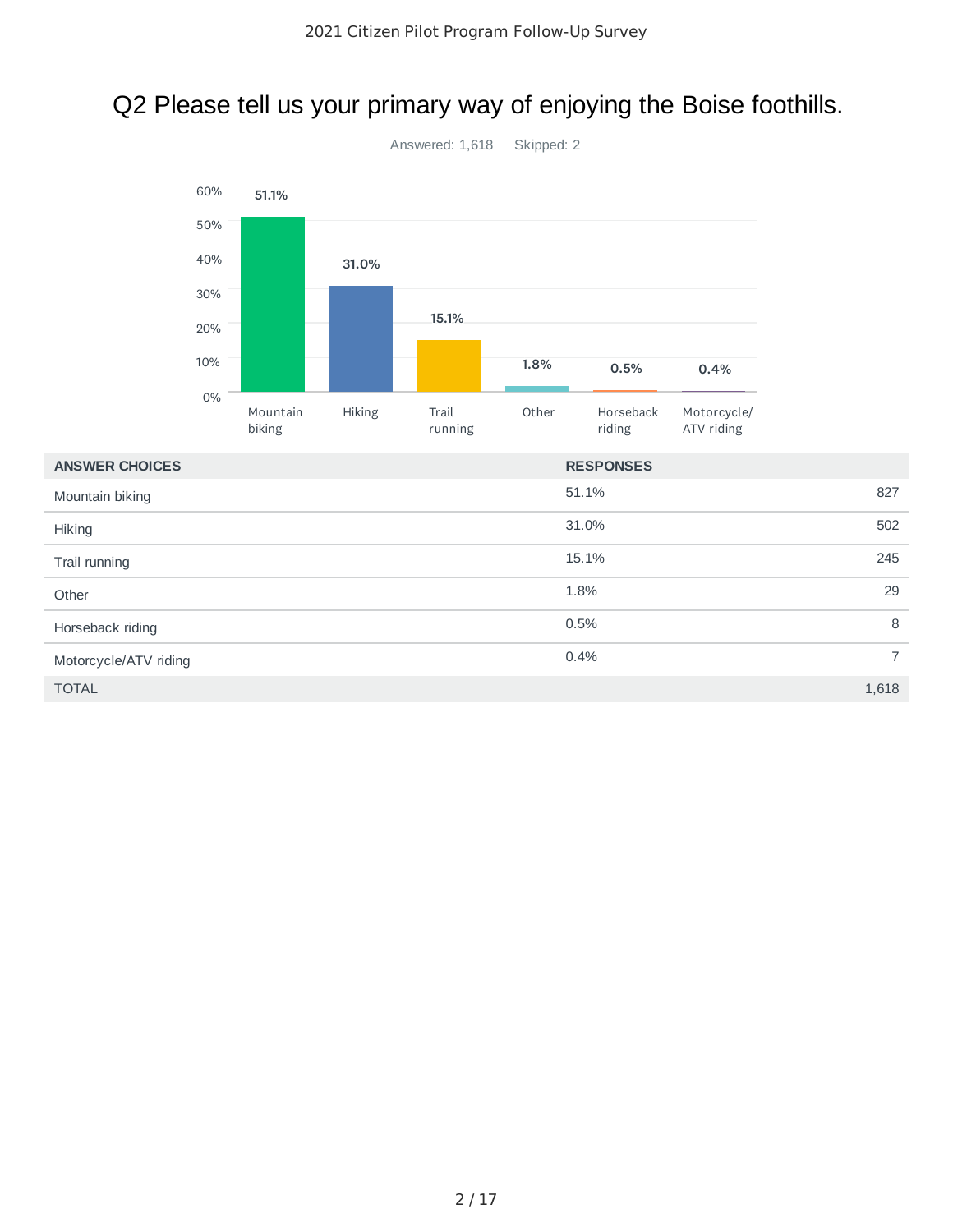# Q2 Please tell us your primary way of enjoying the Boise foothills.



Hiking

**Other** 

#### Answered: 1,618 Skipped: 2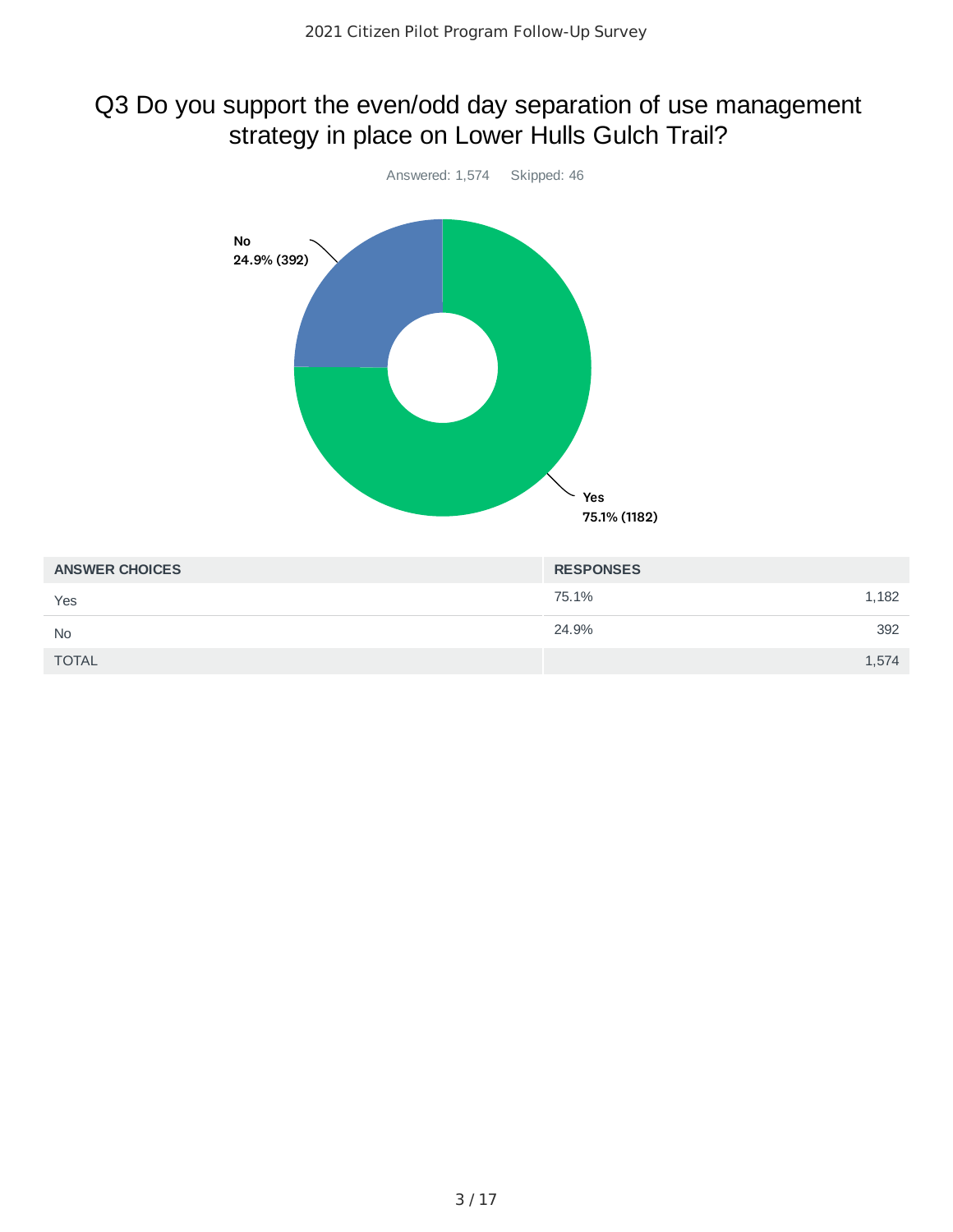# Q3 Do you support the even/odd day separation of use management strategy in place on Lower Hulls Gulch Trail?



| <b>ANSWER CHOICES</b> | <b>RESPONSES</b> |
|-----------------------|------------------|
| Yes                   | 75.1%<br>1,182   |
| <b>No</b>             | 24.9%<br>392     |
| <b>TOTAL</b>          | 1,574            |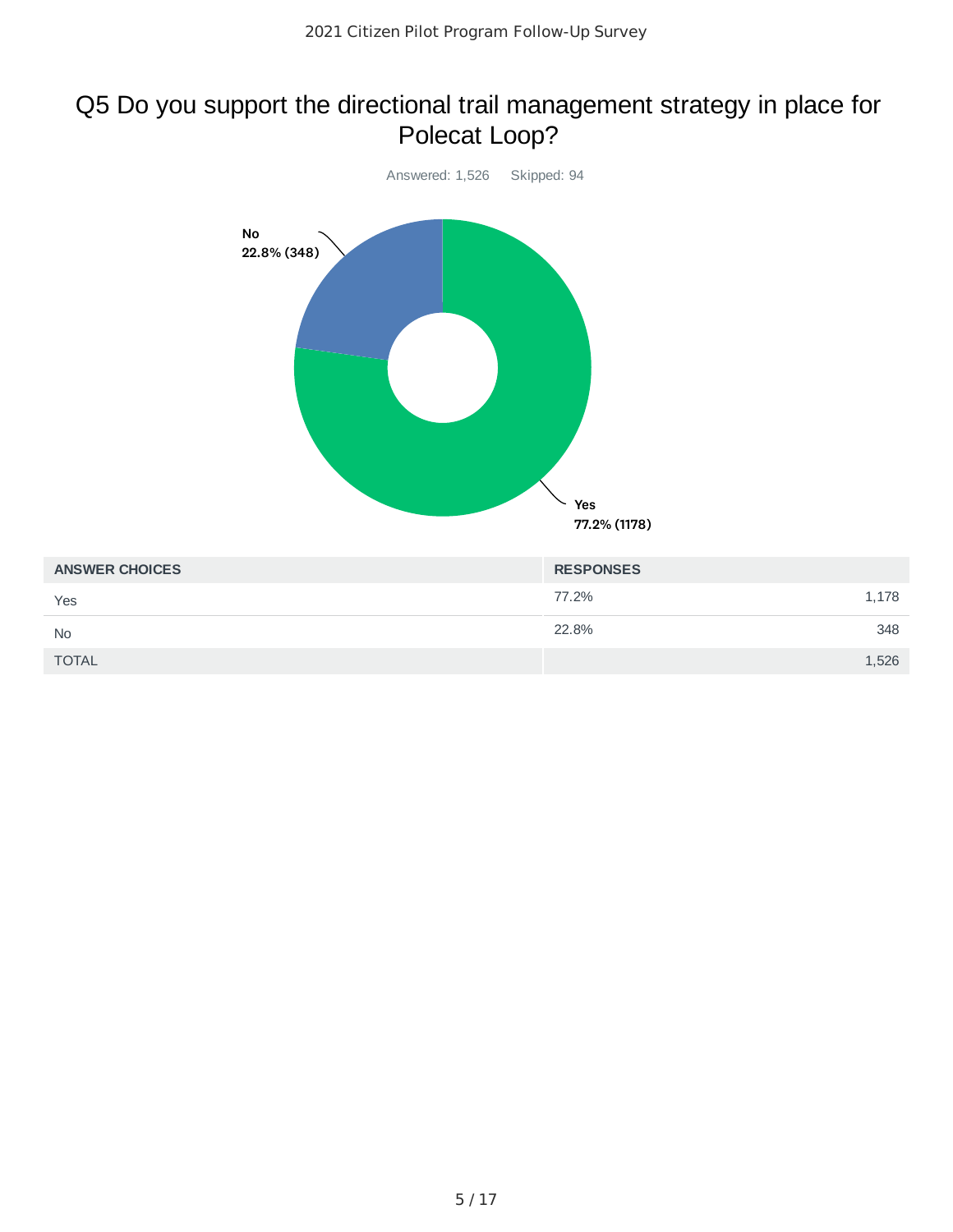#### Q5 Do you support the directional trail management strategy in place for Polecat Loop?

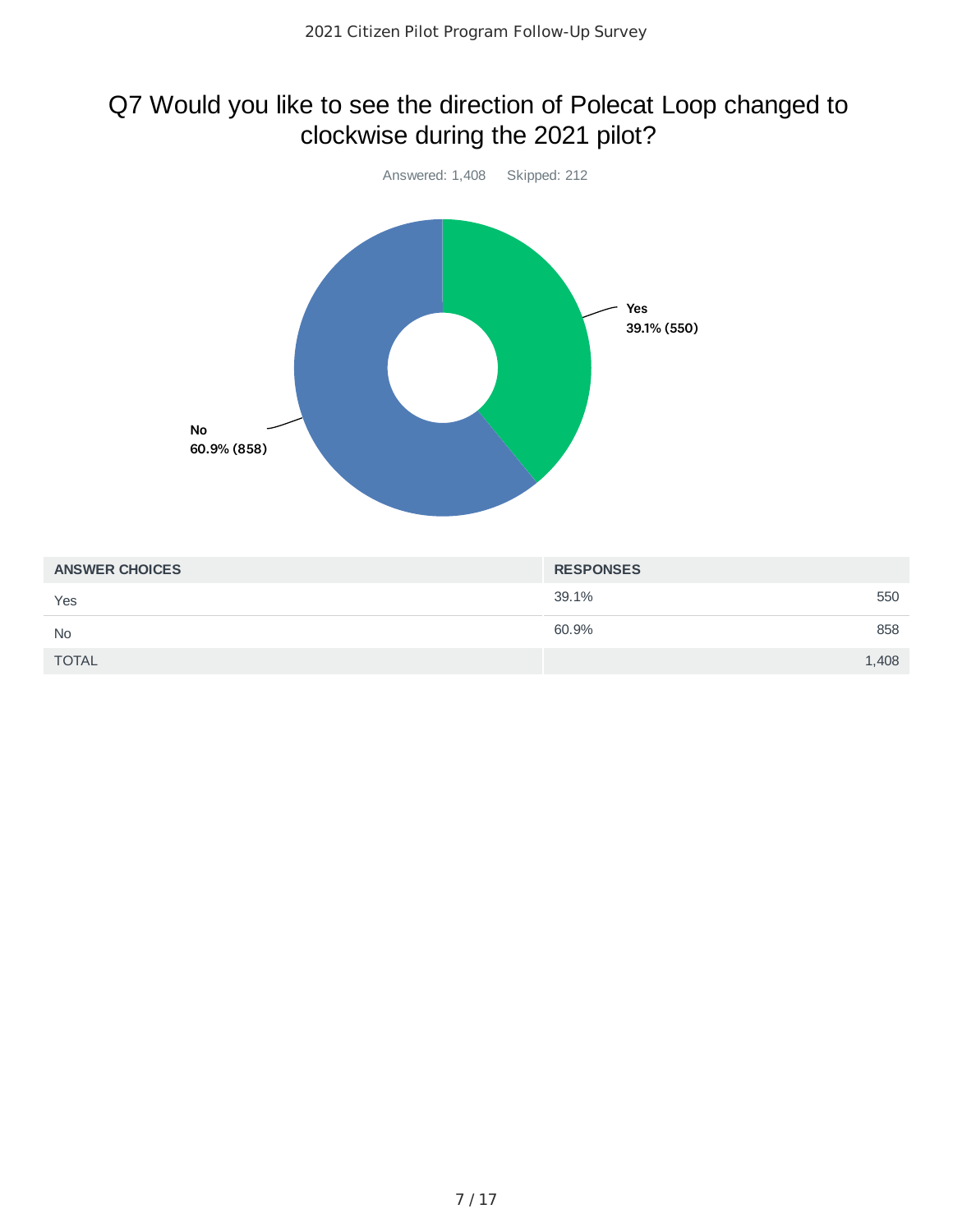# Q7 Would you like to see the direction of Polecat Loop changed to clockwise during the 2021 pilot?



| <b>ANSWER CHOICES</b> | <b>RESPONSES</b> |
|-----------------------|------------------|
| Yes                   | 39.1%<br>550     |
| <b>No</b>             | 60.9%<br>858     |
| <b>TOTAL</b>          | 1,408            |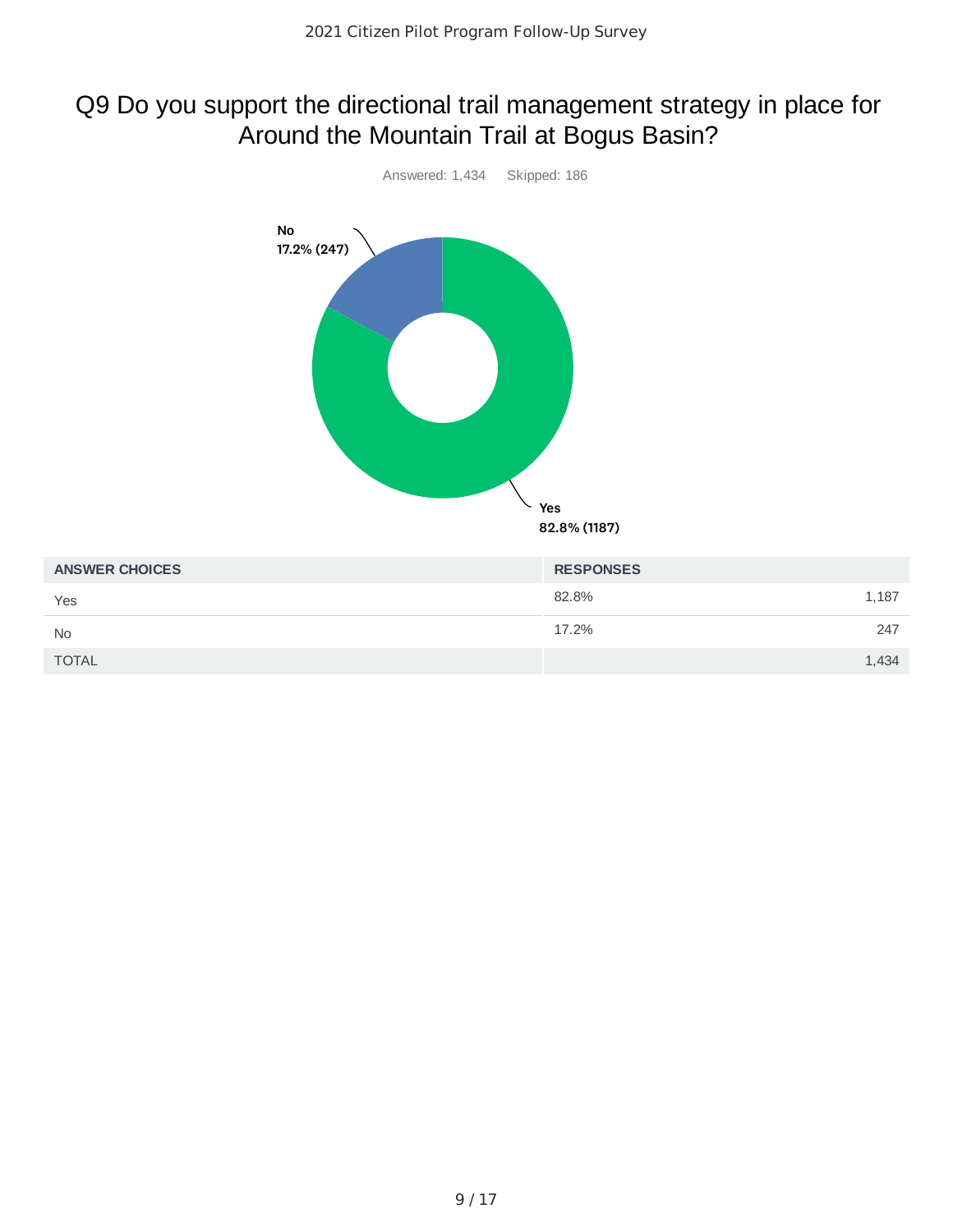# Q9 Do you support the directional trail management strategy in place for Around the Mountain Trail at Bogus Basin?

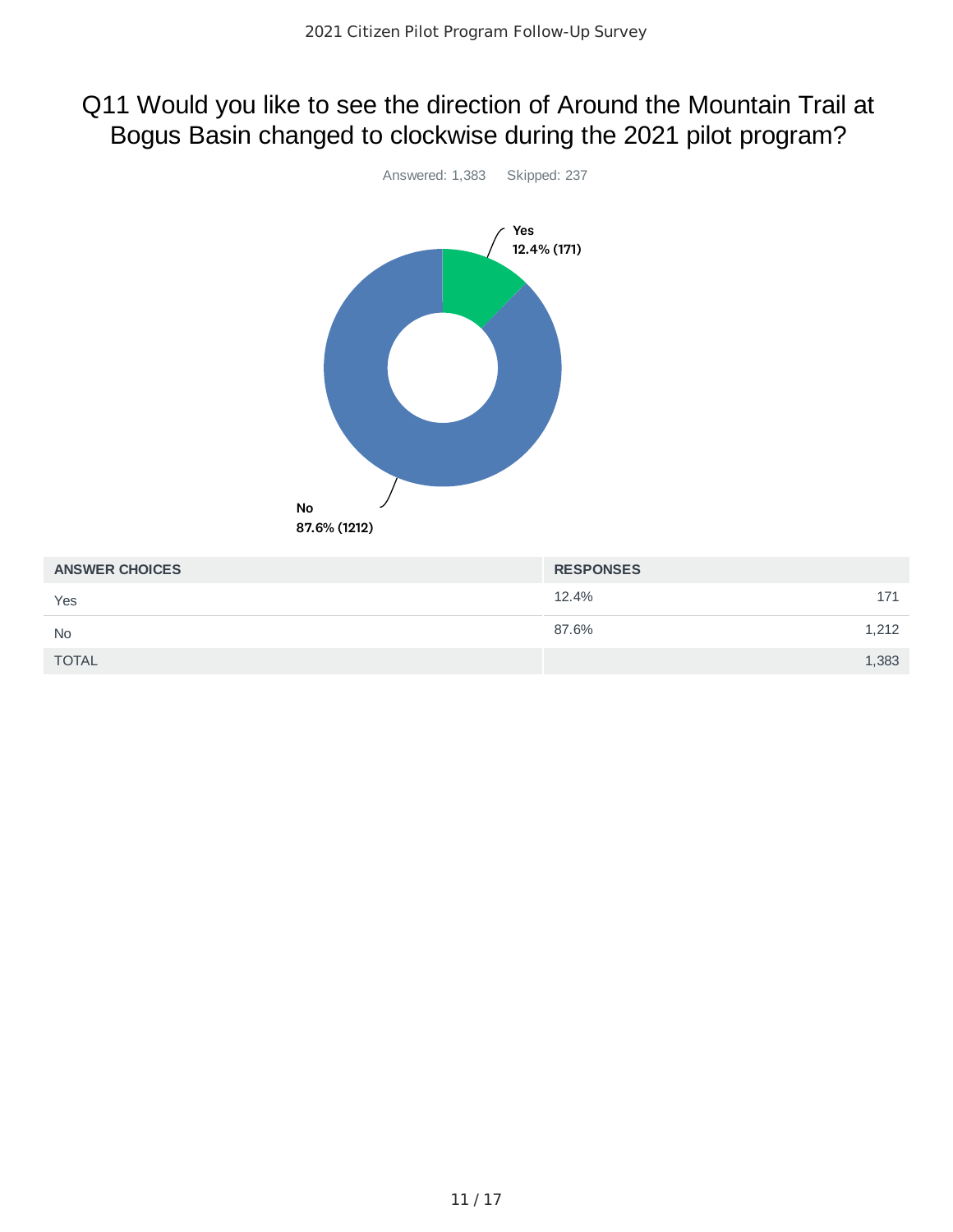#### Q11 Would you like to see the direction of Around the Mountain Trail at Bogus Basin changed to clockwise during the 2021 pilot program?



| <b>ANSWER CHOICES</b> | <b>RESPONSES</b> |     |
|-----------------------|------------------|-----|
| Yes                   | 12.4%            | 171 |
| <b>No</b>             | 87.6%<br>1,212   |     |
| <b>TOTAL</b>          | 1,383            |     |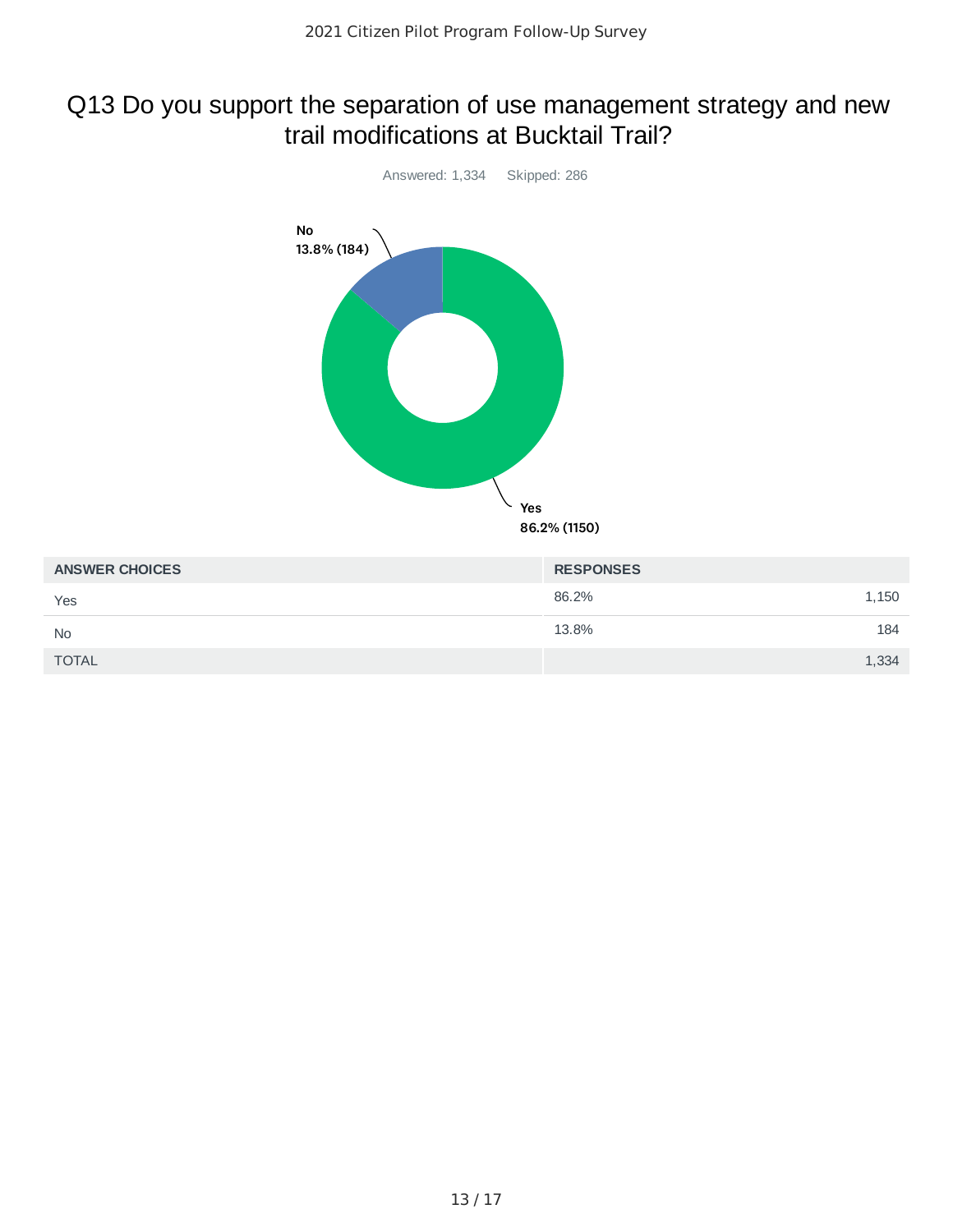#### Q13 Do you support the separation of use management strategy and new trail modifications at Bucktail Trail?



| <b>ANSWER CHOICES</b> | <b>RESPONSES</b> |
|-----------------------|------------------|
| Yes                   | 86.2%<br>1,150   |
| <b>No</b>             | 13.8%<br>184     |
| <b>TOTAL</b>          | 1,334            |